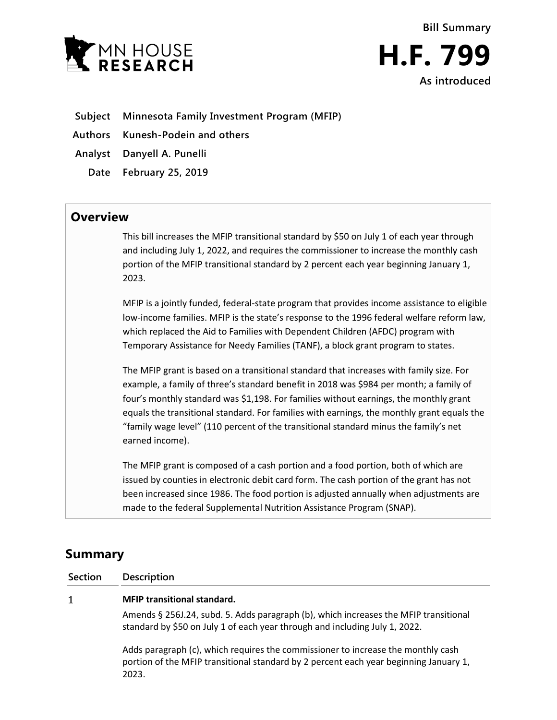

## **Subject Minnesota Family Investment Program (MFIP)**

**Authors Kunesh-Podein and others**

**Analyst Danyell A. Punelli**

**Date February 25, 2019**

## **Overview**

This bill increases the MFIP transitional standard by \$50 on July 1 of each year through and including July 1, 2022, and requires the commissioner to increase the monthly cash portion of the MFIP transitional standard by 2 percent each year beginning January 1, 2023.

MFIP is a jointly funded, federal-state program that provides income assistance to eligible low-income families. MFIP is the state's response to the 1996 federal welfare reform law, which replaced the Aid to Families with Dependent Children (AFDC) program with Temporary Assistance for Needy Families (TANF), a block grant program to states.

The MFIP grant is based on a transitional standard that increases with family size. For example, a family of three's standard benefit in 2018 was \$984 per month; a family of four's monthly standard was \$1,198. For families without earnings, the monthly grant equals the transitional standard. For families with earnings, the monthly grant equals the "family wage level" (110 percent of the transitional standard minus the family's net earned income).

The MFIP grant is composed of a cash portion and a food portion, both of which are issued by counties in electronic debit card form. The cash portion of the grant has not been increased since 1986. The food portion is adjusted annually when adjustments are made to the federal Supplemental Nutrition Assistance Program (SNAP).

## **Summary**

**Section Description**

## $\mathbf{1}$ **MFIP transitional standard.**

Amends § 256J.24, subd. 5. Adds paragraph (b), which increases the MFIP transitional standard by \$50 on July 1 of each year through and including July 1, 2022.

Adds paragraph (c), which requires the commissioner to increase the monthly cash portion of the MFIP transitional standard by 2 percent each year beginning January 1, 2023.